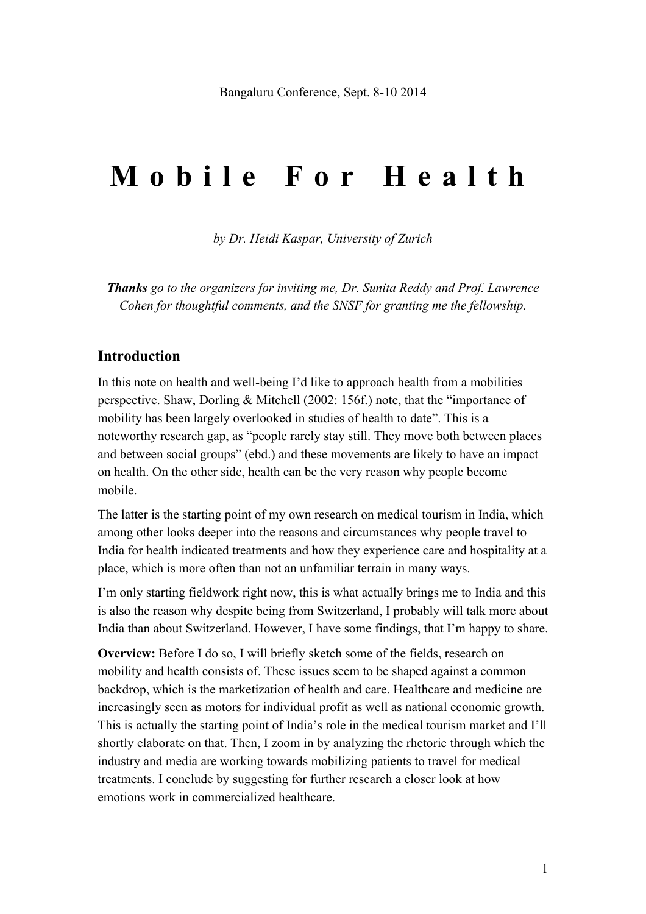# **Mobile For Health**

*by Dr. Heidi Kaspar, University of Zurich*

*Thanks go to the organizers for inviting me, Dr. Sunita Reddy and Prof. Lawrence Cohen for thoughtful comments, and the SNSF for granting me the fellowship.*

#### **Introduction**

In this note on health and well-being I'd like to approach health from a mobilities perspective. Shaw, Dorling & Mitchell (2002: 156f.) note, that the "importance of mobility has been largely overlooked in studies of health to date". This is a noteworthy research gap, as "people rarely stay still. They move both between places and between social groups" (ebd.) and these movements are likely to have an impact on health. On the other side, health can be the very reason why people become mobile.

The latter is the starting point of my own research on medical tourism in India, which among other looks deeper into the reasons and circumstances why people travel to India for health indicated treatments and how they experience care and hospitality at a place, which is more often than not an unfamiliar terrain in many ways.

I'm only starting fieldwork right now, this is what actually brings me to India and this is also the reason why despite being from Switzerland, I probably will talk more about India than about Switzerland. However, I have some findings, that I'm happy to share.

**Overview:** Before I do so, I will briefly sketch some of the fields, research on mobility and health consists of. These issues seem to be shaped against a common backdrop, which is the marketization of health and care. Healthcare and medicine are increasingly seen as motors for individual profit as well as national economic growth. This is actually the starting point of India's role in the medical tourism market and I'll shortly elaborate on that. Then, I zoom in by analyzing the rhetoric through which the industry and media are working towards mobilizing patients to travel for medical treatments. I conclude by suggesting for further research a closer look at how emotions work in commercialized healthcare.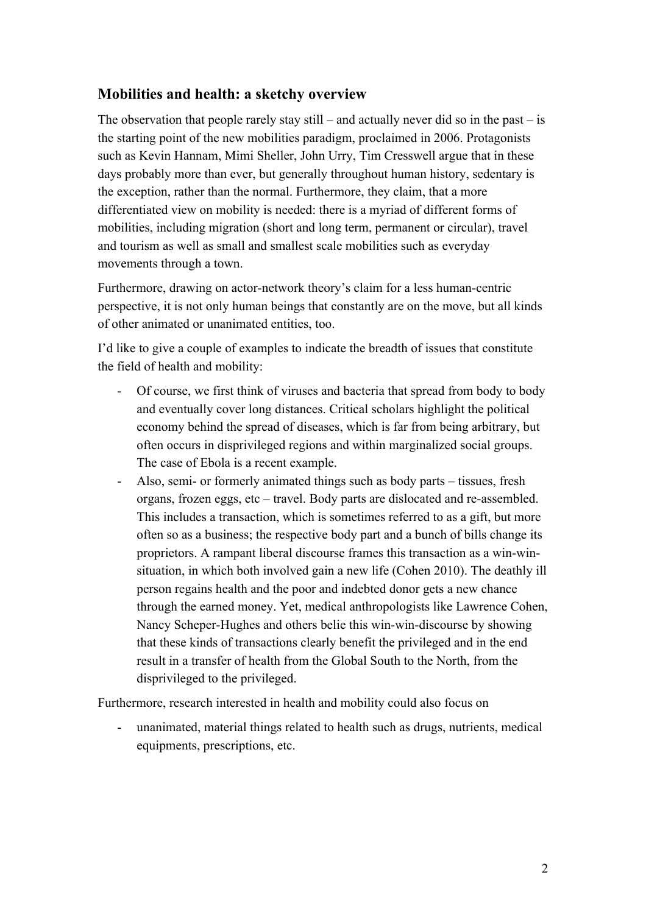# **Mobilities and health: a sketchy overview**

The observation that people rarely stay still – and actually never did so in the past – is the starting point of the new mobilities paradigm, proclaimed in 2006. Protagonists such as Kevin Hannam, Mimi Sheller, John Urry, Tim Cresswell argue that in these days probably more than ever, but generally throughout human history, sedentary is the exception, rather than the normal. Furthermore, they claim, that a more differentiated view on mobility is needed: there is a myriad of different forms of mobilities, including migration (short and long term, permanent or circular), travel and tourism as well as small and smallest scale mobilities such as everyday movements through a town.

Furthermore, drawing on actor-network theory's claim for a less human-centric perspective, it is not only human beings that constantly are on the move, but all kinds of other animated or unanimated entities, too.

I'd like to give a couple of examples to indicate the breadth of issues that constitute the field of health and mobility:

- Of course, we first think of viruses and bacteria that spread from body to body and eventually cover long distances. Critical scholars highlight the political economy behind the spread of diseases, which is far from being arbitrary, but often occurs in disprivileged regions and within marginalized social groups. The case of Ebola is a recent example.
- Also, semi- or formerly animated things such as body parts tissues, fresh organs, frozen eggs, etc – travel. Body parts are dislocated and re-assembled. This includes a transaction, which is sometimes referred to as a gift, but more often so as a business; the respective body part and a bunch of bills change its proprietors. A rampant liberal discourse frames this transaction as a win-winsituation, in which both involved gain a new life (Cohen 2010). The deathly ill person regains health and the poor and indebted donor gets a new chance through the earned money. Yet, medical anthropologists like Lawrence Cohen, Nancy Scheper-Hughes and others belie this win-win-discourse by showing that these kinds of transactions clearly benefit the privileged and in the end result in a transfer of health from the Global South to the North, from the disprivileged to the privileged.

Furthermore, research interested in health and mobility could also focus on

unanimated, material things related to health such as drugs, nutrients, medical equipments, prescriptions, etc.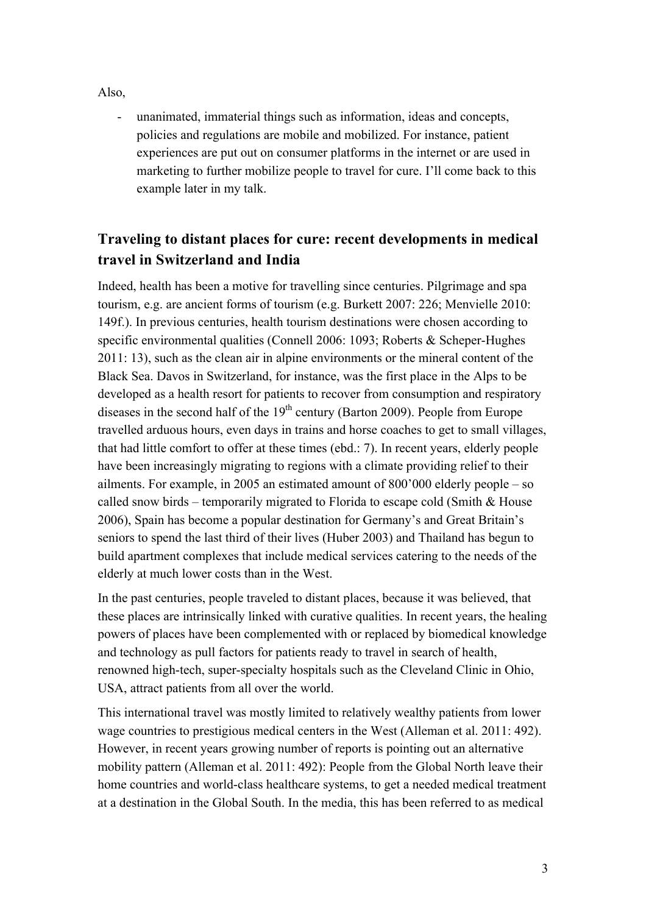Also,

- unanimated, immaterial things such as information, ideas and concepts, policies and regulations are mobile and mobilized. For instance, patient experiences are put out on consumer platforms in the internet or are used in marketing to further mobilize people to travel for cure. I'll come back to this example later in my talk.

# **Traveling to distant places for cure: recent developments in medical travel in Switzerland and India**

Indeed, health has been a motive for travelling since centuries. Pilgrimage and spa tourism, e.g. are ancient forms of tourism (e.g. Burkett 2007: 226; Menvielle 2010: 149f.). In previous centuries, health tourism destinations were chosen according to specific environmental qualities (Connell 2006: 1093; Roberts & Scheper-Hughes 2011: 13), such as the clean air in alpine environments or the mineral content of the Black Sea. Davos in Switzerland, for instance, was the first place in the Alps to be developed as a health resort for patients to recover from consumption and respiratory diseases in the second half of the  $19<sup>th</sup>$  century (Barton 2009). People from Europe travelled arduous hours, even days in trains and horse coaches to get to small villages, that had little comfort to offer at these times (ebd.: 7). In recent years, elderly people have been increasingly migrating to regions with a climate providing relief to their ailments. For example, in 2005 an estimated amount of 800'000 elderly people – so called snow birds – temporarily migrated to Florida to escape cold (Smith  $&$  House 2006), Spain has become a popular destination for Germany's and Great Britain's seniors to spend the last third of their lives (Huber 2003) and Thailand has begun to build apartment complexes that include medical services catering to the needs of the elderly at much lower costs than in the West.

In the past centuries, people traveled to distant places, because it was believed, that these places are intrinsically linked with curative qualities. In recent years, the healing powers of places have been complemented with or replaced by biomedical knowledge and technology as pull factors for patients ready to travel in search of health, renowned high-tech, super-specialty hospitals such as the Cleveland Clinic in Ohio, USA, attract patients from all over the world.

This international travel was mostly limited to relatively wealthy patients from lower wage countries to prestigious medical centers in the West (Alleman et al. 2011: 492). However, in recent years growing number of reports is pointing out an alternative mobility pattern (Alleman et al. 2011: 492): People from the Global North leave their home countries and world-class healthcare systems, to get a needed medical treatment at a destination in the Global South. In the media, this has been referred to as medical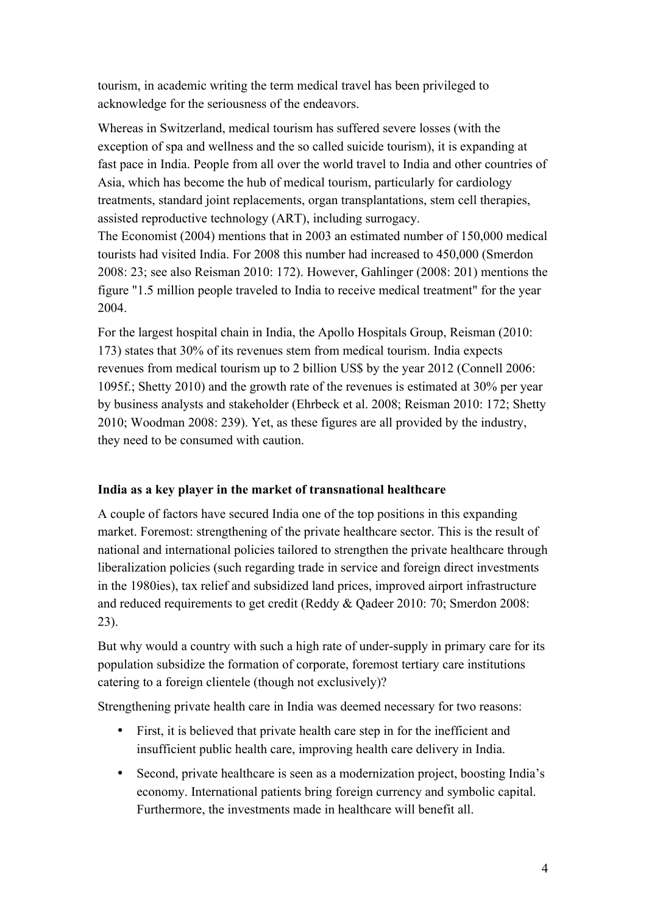tourism, in academic writing the term medical travel has been privileged to acknowledge for the seriousness of the endeavors.

Whereas in Switzerland, medical tourism has suffered severe losses (with the exception of spa and wellness and the so called suicide tourism), it is expanding at fast pace in India. People from all over the world travel to India and other countries of Asia, which has become the hub of medical tourism, particularly for cardiology treatments, standard joint replacements, organ transplantations, stem cell therapies, assisted reproductive technology (ART), including surrogacy.

The Economist (2004) mentions that in 2003 an estimated number of 150,000 medical tourists had visited India. For 2008 this number had increased to 450,000 (Smerdon 2008: 23; see also Reisman 2010: 172). However, Gahlinger (2008: 201) mentions the figure "1.5 million people traveled to India to receive medical treatment" for the year 2004.

For the largest hospital chain in India, the Apollo Hospitals Group, Reisman (2010: 173) states that 30% of its revenues stem from medical tourism. India expects revenues from medical tourism up to 2 billion US\$ by the year 2012 (Connell 2006: 1095f.; Shetty 2010) and the growth rate of the revenues is estimated at 30% per year by business analysts and stakeholder (Ehrbeck et al. 2008; Reisman 2010: 172; Shetty 2010; Woodman 2008: 239). Yet, as these figures are all provided by the industry, they need to be consumed with caution.

## **India as a key player in the market of transnational healthcare**

A couple of factors have secured India one of the top positions in this expanding market. Foremost: strengthening of the private healthcare sector. This is the result of national and international policies tailored to strengthen the private healthcare through liberalization policies (such regarding trade in service and foreign direct investments in the 1980ies), tax relief and subsidized land prices, improved airport infrastructure and reduced requirements to get credit (Reddy & Qadeer 2010: 70; Smerdon 2008: 23).

But why would a country with such a high rate of under-supply in primary care for its population subsidize the formation of corporate, foremost tertiary care institutions catering to a foreign clientele (though not exclusively)?

Strengthening private health care in India was deemed necessary for two reasons:

- First, it is believed that private health care step in for the inefficient and insufficient public health care, improving health care delivery in India.
- Second, private healthcare is seen as a modernization project, boosting India's economy. International patients bring foreign currency and symbolic capital. Furthermore, the investments made in healthcare will benefit all.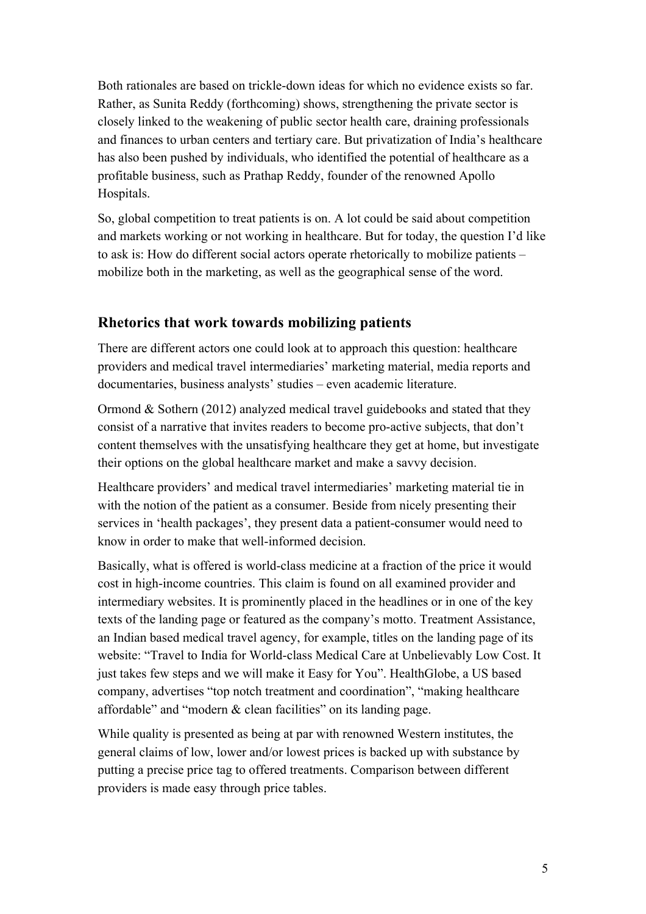Both rationales are based on trickle-down ideas for which no evidence exists so far. Rather, as Sunita Reddy (forthcoming) shows, strengthening the private sector is closely linked to the weakening of public sector health care, draining professionals and finances to urban centers and tertiary care. But privatization of India's healthcare has also been pushed by individuals, who identified the potential of healthcare as a profitable business, such as Prathap Reddy, founder of the renowned Apollo Hospitals.

So, global competition to treat patients is on. A lot could be said about competition and markets working or not working in healthcare. But for today, the question I'd like to ask is: How do different social actors operate rhetorically to mobilize patients – mobilize both in the marketing, as well as the geographical sense of the word.

## **Rhetorics that work towards mobilizing patients**

There are different actors one could look at to approach this question: healthcare providers and medical travel intermediaries' marketing material, media reports and documentaries, business analysts' studies – even academic literature.

Ormond & Sothern (2012) analyzed medical travel guidebooks and stated that they consist of a narrative that invites readers to become pro-active subjects, that don't content themselves with the unsatisfying healthcare they get at home, but investigate their options on the global healthcare market and make a savvy decision.

Healthcare providers' and medical travel intermediaries' marketing material tie in with the notion of the patient as a consumer. Beside from nicely presenting their services in 'health packages', they present data a patient-consumer would need to know in order to make that well-informed decision.

Basically, what is offered is world-class medicine at a fraction of the price it would cost in high-income countries. This claim is found on all examined provider and intermediary websites. It is prominently placed in the headlines or in one of the key texts of the landing page or featured as the company's motto. Treatment Assistance, an Indian based medical travel agency, for example, titles on the landing page of its website: "Travel to India for World-class Medical Care at Unbelievably Low Cost. It just takes few steps and we will make it Easy for You". HealthGlobe, a US based company, advertises "top notch treatment and coordination", "making healthcare affordable" and "modern & clean facilities" on its landing page.

While quality is presented as being at par with renowned Western institutes, the general claims of low, lower and/or lowest prices is backed up with substance by putting a precise price tag to offered treatments. Comparison between different providers is made easy through price tables.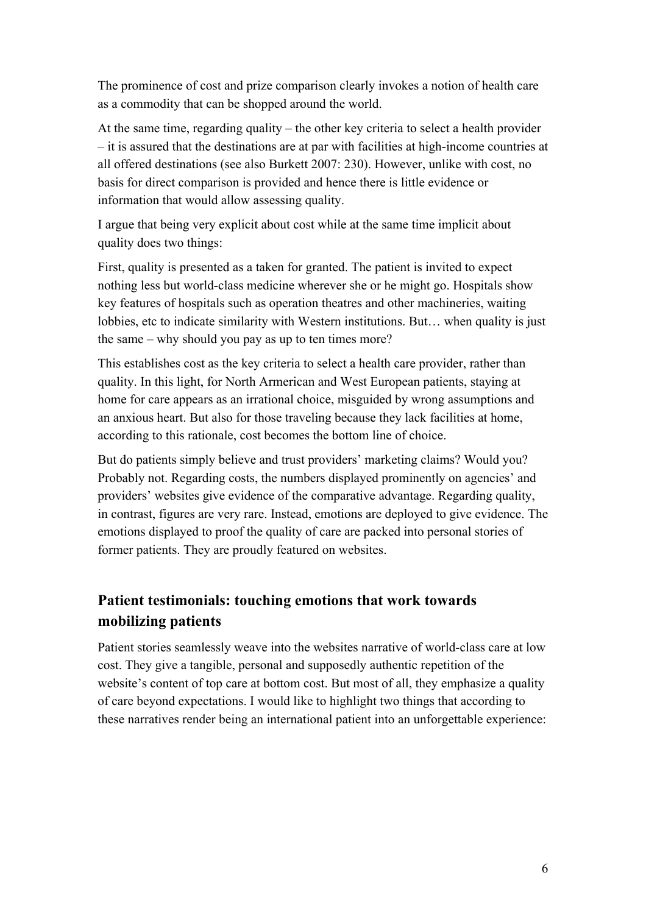The prominence of cost and prize comparison clearly invokes a notion of health care as a commodity that can be shopped around the world.

At the same time, regarding quality – the other key criteria to select a health provider – it is assured that the destinations are at par with facilities at high-income countries at all offered destinations (see also Burkett 2007: 230). However, unlike with cost, no basis for direct comparison is provided and hence there is little evidence or information that would allow assessing quality.

I argue that being very explicit about cost while at the same time implicit about quality does two things:

First, quality is presented as a taken for granted. The patient is invited to expect nothing less but world-class medicine wherever she or he might go. Hospitals show key features of hospitals such as operation theatres and other machineries, waiting lobbies, etc to indicate similarity with Western institutions. But… when quality is just the same – why should you pay as up to ten times more?

This establishes cost as the key criteria to select a health care provider, rather than quality. In this light, for North Armerican and West European patients, staying at home for care appears as an irrational choice, misguided by wrong assumptions and an anxious heart. But also for those traveling because they lack facilities at home, according to this rationale, cost becomes the bottom line of choice.

But do patients simply believe and trust providers' marketing claims? Would you? Probably not. Regarding costs, the numbers displayed prominently on agencies' and providers' websites give evidence of the comparative advantage. Regarding quality, in contrast, figures are very rare. Instead, emotions are deployed to give evidence. The emotions displayed to proof the quality of care are packed into personal stories of former patients. They are proudly featured on websites.

# **Patient testimonials: touching emotions that work towards mobilizing patients**

Patient stories seamlessly weave into the websites narrative of world-class care at low cost. They give a tangible, personal and supposedly authentic repetition of the website's content of top care at bottom cost. But most of all, they emphasize a quality of care beyond expectations. I would like to highlight two things that according to these narratives render being an international patient into an unforgettable experience: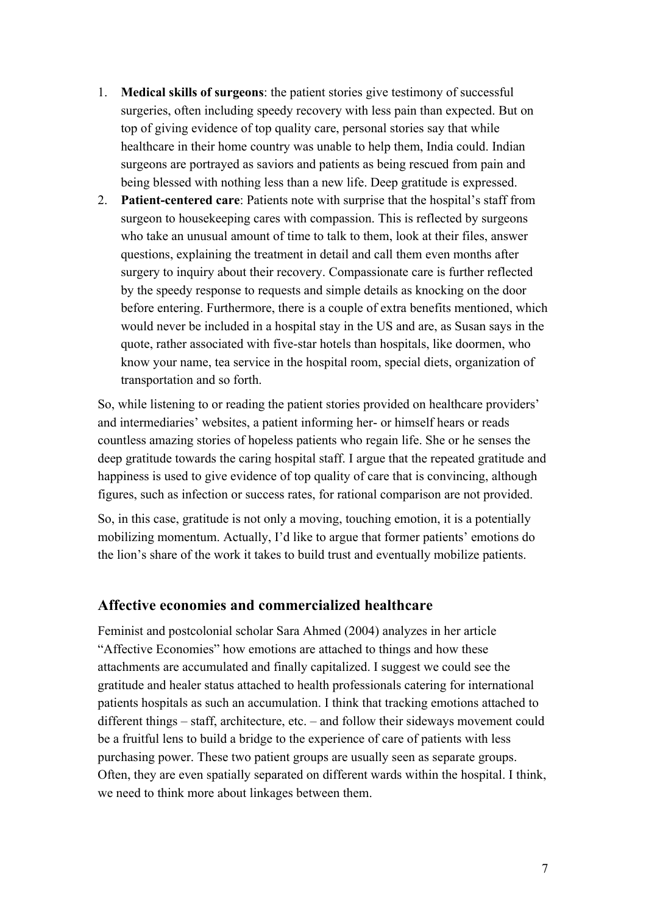- 1. **Medical skills of surgeons**: the patient stories give testimony of successful surgeries, often including speedy recovery with less pain than expected. But on top of giving evidence of top quality care, personal stories say that while healthcare in their home country was unable to help them, India could. Indian surgeons are portrayed as saviors and patients as being rescued from pain and being blessed with nothing less than a new life. Deep gratitude is expressed.
- 2. **Patient-centered care**: Patients note with surprise that the hospital's staff from surgeon to housekeeping cares with compassion. This is reflected by surgeons who take an unusual amount of time to talk to them, look at their files, answer questions, explaining the treatment in detail and call them even months after surgery to inquiry about their recovery. Compassionate care is further reflected by the speedy response to requests and simple details as knocking on the door before entering. Furthermore, there is a couple of extra benefits mentioned, which would never be included in a hospital stay in the US and are, as Susan says in the quote, rather associated with five-star hotels than hospitals, like doormen, who know your name, tea service in the hospital room, special diets, organization of transportation and so forth.

So, while listening to or reading the patient stories provided on healthcare providers' and intermediaries' websites, a patient informing her- or himself hears or reads countless amazing stories of hopeless patients who regain life. She or he senses the deep gratitude towards the caring hospital staff. I argue that the repeated gratitude and happiness is used to give evidence of top quality of care that is convincing, although figures, such as infection or success rates, for rational comparison are not provided.

So, in this case, gratitude is not only a moving, touching emotion, it is a potentially mobilizing momentum. Actually, I'd like to argue that former patients' emotions do the lion's share of the work it takes to build trust and eventually mobilize patients.

### **Affective economies and commercialized healthcare**

Feminist and postcolonial scholar Sara Ahmed (2004) analyzes in her article "Affective Economies" how emotions are attached to things and how these attachments are accumulated and finally capitalized. I suggest we could see the gratitude and healer status attached to health professionals catering for international patients hospitals as such an accumulation. I think that tracking emotions attached to different things – staff, architecture, etc. – and follow their sideways movement could be a fruitful lens to build a bridge to the experience of care of patients with less purchasing power. These two patient groups are usually seen as separate groups. Often, they are even spatially separated on different wards within the hospital. I think, we need to think more about linkages between them.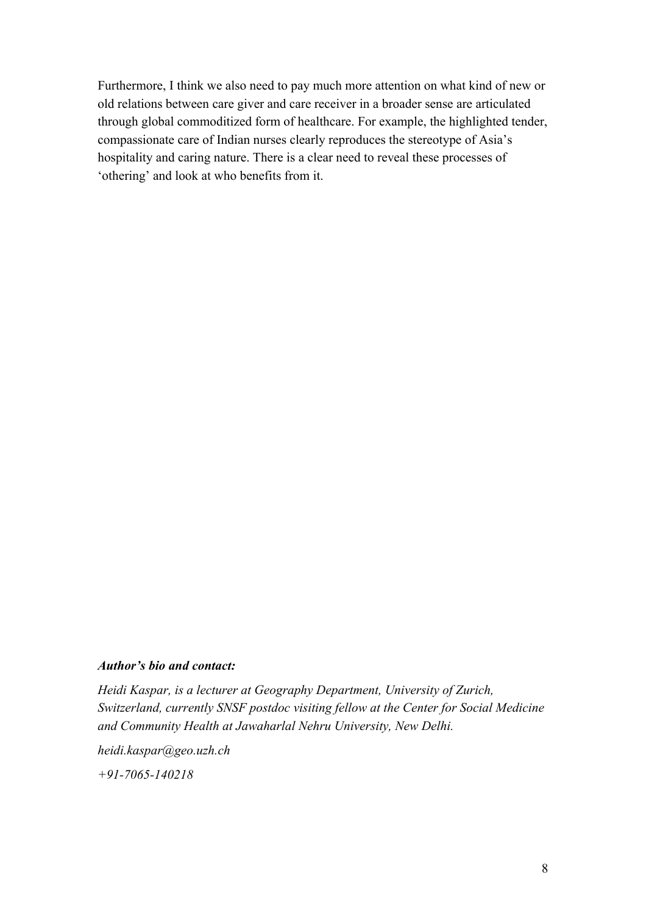Furthermore, I think we also need to pay much more attention on what kind of new or old relations between care giver and care receiver in a broader sense are articulated through global commoditized form of healthcare. For example, the highlighted tender, compassionate care of Indian nurses clearly reproduces the stereotype of Asia's hospitality and caring nature. There is a clear need to reveal these processes of 'othering' and look at who benefits from it.

#### *Author's bio and contact:*

*Heidi Kaspar, is a lecturer at Geography Department, University of Zurich, Switzerland, currently SNSF postdoc visiting fellow at the Center for Social Medicine and Community Health at Jawaharlal Nehru University, New Delhi.*

*heidi.kaspar@geo.uzh.ch*

*+91-7065-140218*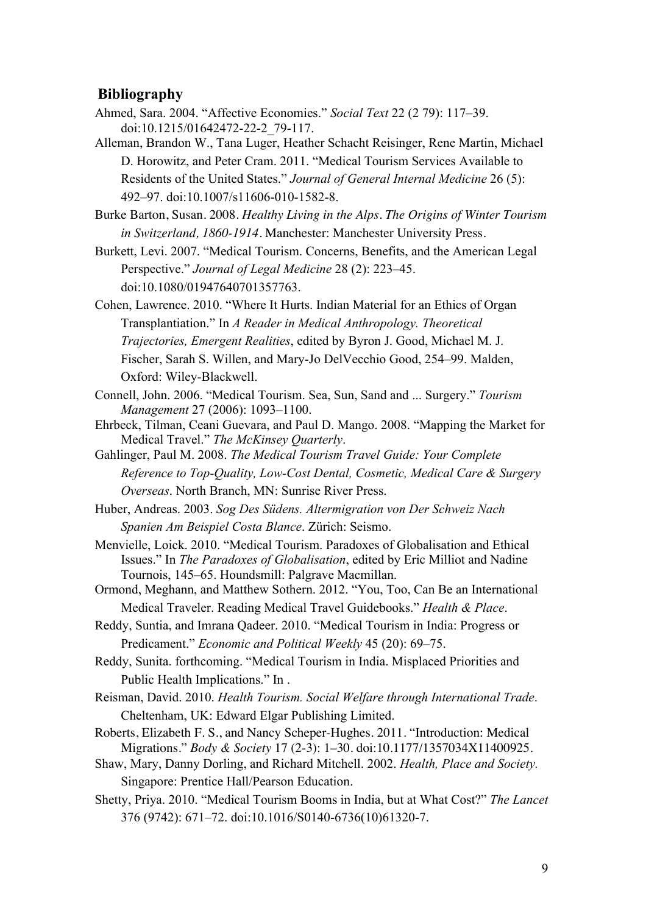### **Bibliography**

- Ahmed, Sara. 2004. "Affective Economies." *Social Text* 22 (2 79): 117–39. doi:10.1215/01642472-22-2\_79-117.
- Alleman, Brandon W., Tana Luger, Heather Schacht Reisinger, Rene Martin, Michael D. Horowitz, and Peter Cram. 2011. "Medical Tourism Services Available to Residents of the United States." *Journal of General Internal Medicine* 26 (5): 492–97. doi:10.1007/s11606-010-1582-8.

Burke Barton, Susan. 2008. *Healthy Living in the Alps. The Origins of Winter Tourism in Switzerland, 1860-1914*. Manchester: Manchester University Press.

Burkett, Levi. 2007. "Medical Tourism. Concerns, Benefits, and the American Legal Perspective." *Journal of Legal Medicine* 28 (2): 223–45. doi:10.1080/01947640701357763.

Cohen, Lawrence. 2010. "Where It Hurts. Indian Material for an Ethics of Organ Transplantiation." In *A Reader in Medical Anthropology. Theoretical Trajectories, Emergent Realities*, edited by Byron J. Good, Michael M. J. Fischer, Sarah S. Willen, and Mary-Jo DelVecchio Good, 254–99. Malden, Oxford: Wiley-Blackwell.

- Connell, John. 2006. "Medical Tourism. Sea, Sun, Sand and ... Surgery." *Tourism Management* 27 (2006): 1093–1100.
- Ehrbeck, Tilman, Ceani Guevara, and Paul D. Mango. 2008. "Mapping the Market for Medical Travel." *The McKinsey Quarterly*.

Gahlinger, Paul M. 2008. *The Medical Tourism Travel Guide: Your Complete Reference to Top-Quality, Low-Cost Dental, Cosmetic, Medical Care & Surgery Overseas*. North Branch, MN: Sunrise River Press.

Huber, Andreas. 2003. *Sog Des Südens. Altermigration von Der Schweiz Nach Spanien Am Beispiel Costa Blance*. Zürich: Seismo.

Menvielle, Loick. 2010. "Medical Tourism. Paradoxes of Globalisation and Ethical Issues." In *The Paradoxes of Globalisation*, edited by Eric Milliot and Nadine Tournois, 145–65. Houndsmill: Palgrave Macmillan.

Ormond, Meghann, and Matthew Sothern. 2012. "You, Too, Can Be an International Medical Traveler. Reading Medical Travel Guidebooks." *Health & Place*.

Reddy, Suntia, and Imrana Qadeer. 2010. "Medical Tourism in India: Progress or Predicament." *Economic and Political Weekly* 45 (20): 69–75.

Reddy, Sunita. forthcoming. "Medical Tourism in India. Misplaced Priorities and Public Health Implications." In .

Reisman, David. 2010. *Health Tourism. Social Welfare through International Trade*. Cheltenham, UK: Edward Elgar Publishing Limited.

Roberts, Elizabeth F. S., and Nancy Scheper-Hughes. 2011. "Introduction: Medical Migrations." *Body & Society* 17 (2-3): 1–30. doi:10.1177/1357034X11400925.

- Shaw, Mary, Danny Dorling, and Richard Mitchell. 2002. *Health, Place and Society.* Singapore: Prentice Hall/Pearson Education.
- Shetty, Priya. 2010. "Medical Tourism Booms in India, but at What Cost?" *The Lancet* 376 (9742): 671–72. doi:10.1016/S0140-6736(10)61320-7.